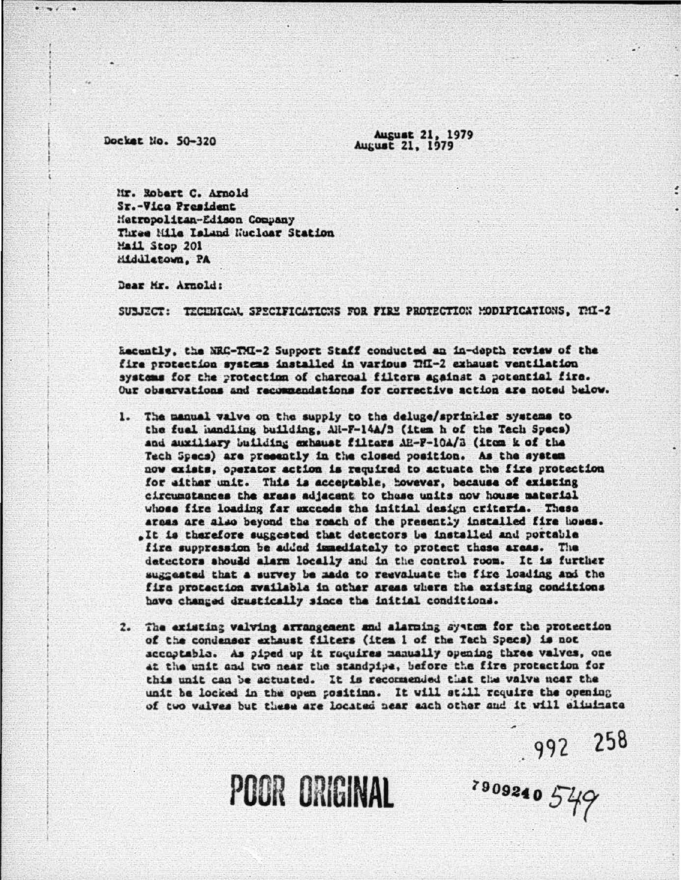Docket No. 50-320

**August 21, 1979** August 21, 1979

Mr. Robert C. Arnold Sr.-Vice President Metropolitan-Edison Company Three Mile Island Muclear Station Mail Stop 201 Middletown, PA

Dear Mr. Arnold:

SUBJECT: TECHNICAL SPECIFICATIONS FOR FIRE PROTECTION MODIFICATIONS, THI-2

Recently, the NRC-TMI-2 Support Staff conducted an in-depth review of the fire protection systems installed in various TfI-2 exhaust ventilation systems for the protection of charcoal filters against a potential fire. Our observations and recommendations for corrective action are noted below.

- 1. The manual valve on the supply to the deluge/sprinkler systems to the fuel handling building, Ali-F-14A/3 (item h of the Tech Specs) and auxiliary building exhaust filters AE-F-10A/B (item k of the Tech Specs) are presently in the closed position. As the system now exists, operator action is required to actuate the fire protection for either unit. This is acceptable, however, because of existing circumstances the areas adjacent to those units now house material whose fire loading far exceeds the initial design criteria. These arcas are also beyond the roach of the presently installed fire boses. .It is therefore suggested that detectors be installed and portable fire suppression be added immediately to protect these areas. The detectors should alarm locally and in the control room. It is further suggested that a survey be made to reevaluate the fire loading and the fire protection available in other areas where the existing conditions have changed drustically since the initial conditions.
- 2. The existing valving arrangement and alarning system for the protection of the condenser exhaust filters (item 1 of the Tech Specs) is not accoptable. As piped up it requires manually opening three valves, one at the unit and two near the standpipe, before the fire protection for this unit can be actuated. It is recommended that the valve near the unit be locked in the open position. It will still require the opening of two valves but these are located near each other and it will eliminate

 $.992$  258

3009240 549

**POOR ORIGINAL**